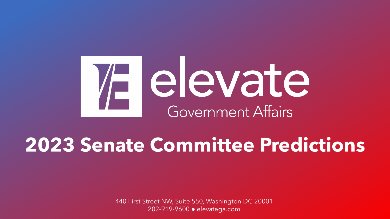

# **2023 Senate Committee Predictions**

440 First Street NW, Suite 550, Washington DC 20001 202-919-9600 ● elevatega.com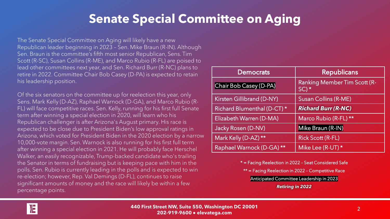# **Senate Special Committee on Aging**

The Senate Special Committee on Aging will likely have a new Republican leader beginning in 2023 – Sen. Mike Braun (R-IN). Although Sen. Braun is the committee's fifth most senior Republican, Sens. Tim Scott (R-SC), Susan Collins (R-ME), and Marco Rubio (R-FL) are poised to lead other committees next year, and Sen. Richard Burr (R-NC) plans to retire in 2022. Committee Chair Bob Casey (D-PA) is expected to retain his leadership position.

Of the six senators on the committee up for reelection this year, only Sens. Mark Kelly (D-AZ), Raphael Warnock (D-GA), and Marco Rubio (R-FL) will face competitive races. Sen. Kelly, running for his first full Senate term after winning a special election in 2020, will learn who his Republican challenger is after Arizona's August primary. His race is expected to be close due to President Biden's low approval ratings in Arizona, which voted for President Biden in the 2020 election by a narrow 10,000-vote margin. Sen. Warnock is also running for his first full term after winning a special election in 2021. He will probably face Herschel Walker, an easily recognizable, Trump-backed candidate who's trailing the Senator in terms of fundraising but is keeping pace with him in the polls. Sen. Rubio is currently leading in the polls and is expected to win re-election; however, Rep. Val Demings (D-FL), continues to raise significant amounts of money and the race will likely be within a few percentage points.

| <b>Democrats</b>            | <b>Republicans</b>                              |
|-----------------------------|-------------------------------------------------|
| Chair Bob Casey (D-PA)      | <b>Ranking Member Tim Scott (R-</b><br>$SC$ ) * |
| Kirsten Gillibrand (D-NY)   | <b>Susan Collins (R-ME)</b>                     |
| Richard Blumenthal (D-CT) * | <b>Richard Burr (R-NC)</b>                      |
| Elizabeth Warren (D-MA)     | Marco Rubio (R-FL) **                           |
| Jacky Rosen (D-NV)          | Mike Braun (R-IN)                               |
| Mark Kelly (D-AZ) **        | <b>Rick Scott (R-FL)</b>                        |
| Raphael Warnock (D-GA)**    | Mike Lee (R-UT) *                               |

\* = Facing Reelection in 2022 – Seat Considered Safe

\*\* = Facing Reelection in 2022 – Competitive Race

Anticipated Committee Leadership in 2023

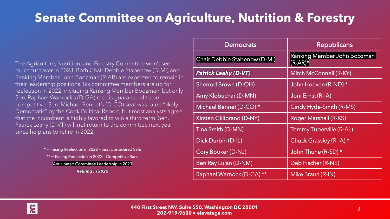# **Senate Committee on Agriculture, Nutrition & Forestry**

The Agriculture, Nutrition, and Forestry Committee won't see much turnover in 2023. Both Chair Debbie Stabenow (D-MI) and Ranking Member John Boozman (R-AR) are expected to remain in their leadership positions. Six committee members are up for reelection in 2022, including Ranking Member Boozman, but only Sen. Raphael Warnock's (D-GA) race is guaranteed to be competitive. Sen. Michael Bennet's (D-CO) seat was rated "likely Democratic" by the Cook Political Report, but most analysts agree that the incumbent is highly favored to win a third term. Sen. Patrick Leahy (D-VT) will not return to the committee next year since he plans to retire in 2022.

\* = Facing Reelection in 2022 – Seat Considered Safe

\*\* = Facing Reelection in 2022 – Competitive Race

Anticipated Committee Leadership in 2023 *Retiring in 2022*

| <b>Democrats</b>             | <b>Republicans</b>                        |
|------------------------------|-------------------------------------------|
| Chair Debbie Stabenow (D-MI) | Ranking Member John Boozman<br>$(R-AR)^*$ |
| <b>Patrick Leahy (D-VT)</b>  | Mitch McConnell (R-KY)                    |
| Sherrod Brown (D-OH)         | John Hoeven (R-ND) *                      |
| Amy Klobuchar (D-MN)         | Joni Ernst (R-IA)                         |
| Michael Bennet (D-CO)*       | Cindy Hyde-Smith (R-MS)                   |
| Kirsten Gillibrand (D-NY)    | Roger Marshall (R-KS)                     |
| Tina Smith (D-MN)            | Tommy Tuberville (R-AL)                   |
| Dick Durbin (D-IL)           | Chuck Grassley (R-IA) *                   |
| Cory Booker (D-NJ)           | John Thune (R-SD) *                       |
| Ben Ray Lujan (D-NM)         | Deb Fischer (R-NE)                        |
| Raphael Warnock (D-GA) **    | Mike Braun (R-IN)                         |

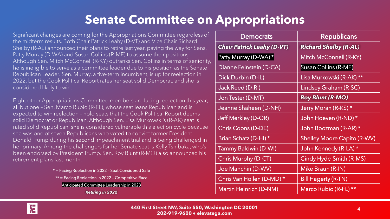# **Senate Committee on Appropriations**

Significant changes are coming for the Appropriations Committee regardless of the midterm results. Both Chair Patrick Leahy (D-VT) and Vice Chair Richard Shelby (R-AL) announced their plans to retire last year, paving the way for Sens. Patty Murray (D-WA) and Susan Collins (R-ME) to assume their positions. Although Sen. Mitch McConnell (R-KY) outranks Sen. Collins in terms of seniority, he is ineligible to serve as a committee leader due to his position as the Senate Republican Leader. Sen. Murray, a five-term incumbent, is up for reelection in 2022, but the Cook Political Report rates her seat solid Democrat, and she is considered likely to win.

Eight other Appropriations Committee members are facing reelection this year; all but one – Sen. Marco Rubio (R-FL), whose seat leans Republican and is expected to win reelection – hold seats that the Cook Political Report deems solid Democrat or Republican. Although Sen. Lisa Murkowski's (R-AK) seat is rated solid Republican, she is considered vulnerable this election cycle because she was one of seven Republicans who voted to convict former President Donald Trump during his second impeachment trial and is being challenged in her primary. Among the challengers for her Senate seat is Kelly Tshibaka, who's been endorsed by President Trump. Sen. Roy Blunt (R-MO) also announced his retirement plans last month.

- \* = Facing Reelection in 2022 Seat Considered Safe
- \*\* = Facing Reelection in 2022 Competitive Race
	- Anticipated Committee Leadership in 2023

| <b>Democrats</b>                  | <b>Republicans</b>                 |
|-----------------------------------|------------------------------------|
| <b>Chair Patrick Leahy (D-VT)</b> | <b>Richard Shelby (R-AL)</b>       |
| Patty Murray (D-WA) *             | Mitch McConnell (R-KY)             |
| Dianne Feinstein (D-CA)           | <b>Susan Collins (R-ME)</b>        |
| Dick Durbin (D-IL)                | Lisa Murkowski (R-AK) **           |
| Jack Reed (D-RI)                  | Lindsey Graham (R-SC)              |
| Jon Tester (D-MT)                 | <b>Roy Blunt (R-MO)</b>            |
| Jeanne Shaheen (D-NH)             | Jerry Moran (R-KS) *               |
| Jeff Merkley (D-OR)               | John Hoeven (R-ND) *               |
| Chris Coons (D-DE)                | John Boozman (R-AR) *              |
| Brian Schatz (D-HI) *             | <b>Shelley Moore Capito (R-WV)</b> |
| Tammy Baldwin (D-WI)              | John Kennedy (R-LA) *              |
| Chris Murphy (D-CT)               | Cindy Hyde-Smith (R-MS)            |
| Joe Manchin (D-WV)                | Mike Braun (R-IN)                  |
| Chris Van Hollen (D-MD) *         | Bill Hagerty (R-TN)                |
| <b>Martin Heinrich (D-NM)</b>     | Marco Rubio (R-FL) **              |

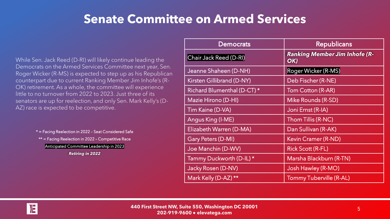### **Senate Committee on Armed Services**

While Sen. Jack Reed (D-RI) will likely continue leading the Democrats on the Armed Services Committee next year, Sen. Roger Wicker (R-MS) is expected to step up as his Republican counterpart due to current Ranking Member Jim Inhofe's (R-OK) retirement. As a whole, the committee will experience little to no turnover from 2022 to 2023. Just three of its senators are up for reelection, and only Sen. Mark Kelly's (D-AZ) race is expected to be competitive.

> \* = Facing Reelection in 2022 – Seat Considered Safe \*\* = Facing Reelection in 2022 – Competitive Race Anticipated Committee Leadership in 2023 *Retiring in 2022*

| <b>Democrats</b>              | <b>Republicans</b>                          |
|-------------------------------|---------------------------------------------|
| <b>Chair Jack Reed (D-RI)</b> | <b>Ranking Member Jim Inhofe (R-</b><br>OK) |
| Jeanne Shaheen (D-NH)         | Roger Wicker (R-MS)                         |
| Kirsten Gillibrand (D-NY)     | Deb Fischer (R-NE)                          |
| Richard Blumenthal (D-CT) *   | Tom Cotton (R-AR)                           |
| Mazie Hirono (D-HI)           | Mike Rounds (R-SD)                          |
| Tim Kaine (D-VA)              | Joni Ernst (R-IA)                           |
| Angus King (I-ME)             | Thom Tillis (R-NC)                          |
| Elizabeth Warren (D-MA)       | Dan Sullivan (R-AK)                         |
| Gary Peters (D-MI)            | Kevin Cramer (R-ND)                         |
| Joe Manchin (D-WV)            | Rick Scott (R-FL)                           |
| Tammy Duckworth (D-IL) *      | Marsha Blackburn (R-TN)                     |
| Jacky Rosen (D-NV)            | Josh Hawley (R-MO)                          |
| Mark Kelly (D-AZ) **          | <b>Tommy Tuberville (R-AL)</b>              |

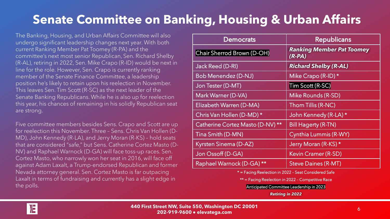# **Senate Committee on Banking, Housing & Urban Affairs**

The Banking, Housing, and Urban Affairs Committee will also undergo significant leadership changes next year. With both current Ranking Member Pat Toomey (R-PA) and the committee's next most senior Republican, Sen. Richard Shelby (R-AL), retiring in 2022, Sen. Mike Crapo (R-ID) would be next in line for the role. However, Sen. Crapo is currently ranking member of the Senate Finance Committee, a leadership position he's likely to retain upon his reelection in November. This leaves Sen. Tim Scott (R-SC) as the next leader of the Senate Banking Republicans. While he is also up for reelection this year, his chances of remaining in his solidly Republican seat are strong.

Five committee members besides Sens. Crapo and Scott are up for reelection this November. Three – Sens. Chris Van Hollen (D-MD), John Kennedy (R-LA), and Jerry Moran (R-KS) – hold seats that are considered "safe," but Sens. Catherine Cortez Masto (D-NV) and Raphael Warnock (D-GA) will face toss-up races. Sen. Cortez Masto, who narrowly won her seat in 2016, will face off against Adam Laxalt, a Trump-endorsed Republican and former Nevada attorney general. Sen. Cortez Masto is far outpacing Laxalt in terms of fundraising and currently has a slight edge in the polls.

| <b>Democrats</b>                 | <b>Republicans</b>                         |
|----------------------------------|--------------------------------------------|
| Chair Sherrod Brown (D-OH)       | <b>Ranking Member Pat Toomey</b><br>(R-PA) |
| Jack Reed (D-RI)                 | <b>Richard Shelby (R-AL)</b>               |
| <b>Bob Menendez (D-NJ)</b>       | Mike Crapo (R-ID) *                        |
| Jon Tester (D-MT)                | Tim Scott (R-SC)                           |
| Mark Warner (D-VA)               | Mike Rounds (R-SD)                         |
| Elizabeth Warren (D-MA)          | Thom Tillis (R-NC)                         |
| Chris Van Hollen (D-MD) *        | John Kennedy (R-LA) *                      |
| Catherine Cortez Masto (D-NV) ** | <b>Bill Hagerty (R-TN)</b>                 |
| Tina Smith (D-MN)                | Cynthia Lummis (R-WY)                      |
| Kyrsten Sinema (D-AZ)            | Jerry Moran (R-KS) *                       |
| Jon Ossoff (D-GA)                | Kevin Cramer (R-SD)                        |
| Raphael Warnock (D-GA) **        | <b>Steve Daines (R-MT)</b>                 |

\* = Facing Reelection in 2022 – Seat Considered Safe

\*\* = Facing Reelection in 2022 – Competitive Race

Anticipated Committee Leadership in 2023

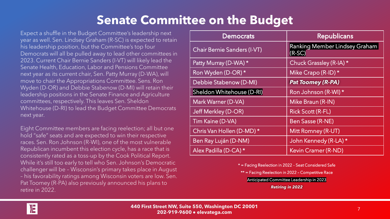# **Senate Committee on the Budget**

Expect a shuffle in the Budget Committee's leadership next year as well. Sen. Lindsey Graham (R-SC) is expected to retain his leadership position, but the Committee's top four Democrats will all be pulled away to lead other committees in 2023. Current Chair Bernie Sanders (I-VT) will likely lead the Senate Health, Education, Labor and Pensions Committee next year as its current chair, Sen. Patty Murray (D-WA), will move to chair the Appropriations Committee. Sens. Ron Wyden (D-OR) and Debbie Stabenow (D-MI) will retain their leadership positions in the Senate Finance and Agriculture committees, respectively. This leaves Sen. Sheldon Whitehouse (D-RI) to lead the Budget Committee Democrats next year.

Eight Committee members are facing reelection; all but one hold "safe" seats and are expected to win their respective races. Sen. Ron Johnson (R-WI), one of the most vulnerable Republican incumbent this election cycle, has a race that is consistently rated as a toss-up by the Cook Political Report. While it's still too early to tell who Sen. Johnson's Democratic challenger will be – Wisconsin's primary takes place in August – his favorability ratings among Wisconsin voters are low. Sen. Pat Toomey (R-PA) also previously announced his plans to retire in 2022.

| <b>Democrats</b>                   | <b>Republicans</b>                               |
|------------------------------------|--------------------------------------------------|
| <b>Chair Bernie Sanders (I-VT)</b> | <b>Ranking Member Lindsey Graham</b><br>$(R-SC)$ |
| Patty Murray (D-WA) *              | Chuck Grassley (R-IA) *                          |
| Ron Wyden (D-OR) *                 | Mike Crapo (R-ID) *                              |
| Debbie Stabenow (D-MI)             | <b>Pat Toomey (R-PA)</b>                         |
| Sheldon Whitehouse (D-RI)          | Ron Johnson (R-WI) *                             |
| Mark Warner (D-VA)                 | Mike Braun (R-IN)                                |
| Jeff Merkley (D-OR)                | <b>Rick Scott (R-FL)</b>                         |
| Tim Kaine (D-VA)                   | Ben Sasse (R-NE)                                 |
| Chris Van Hollen (D-MD) *          | Mitt Romney (R-UT)                               |
| Ben Ray Luján (D-NM)               | John Kennedy (R-LA) *                            |
| Alex Padilla (D-CA) *              | Kevin Cramer (R-ND)                              |

\* = Facing Reelection in 2022 – Seat Considered Safe

\*\* = Facing Reelection in 2022 – Competitive Race

Anticipated Committee Leadership in 2023

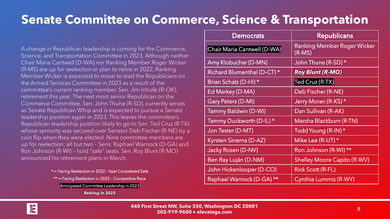# **Senate Committee on Commerce, Science & Transportation**

A change in Republican leadership is coming for the Commerce, Science, and Transportation Committee in 2023. Although neither Chair Maria Cantwell (D-WA) nor Ranking Member Roger Wicker (R-MS) are up for reelection or plan to retire in 2022, Ranking Member Wicker is expected to move to lead the Republicans on the Armed Services Committee in 2023 as a result of the committee's current ranking member, Sen. Jim Inhofe (R-OK), retirement this year. The next most senior Republican on the Commerce Committee, Sen. John Thune (R-SD), currently serves as Senate Republican Whip and is expected to pursue a Senate leadership position again in 2023. This leaves the committee's Republican leadership position likely to go to Sen. Ted Cruz (R-TX) whose seniority was secured over Senator Deb Fischer (R-NE) by a coin flip when they were elected. Nine committee members are up for reelection; all but two – Sens. Raphael Warnock (D-GA) and Ron Johnson (R-WI) – hold "safe" seats. Sen. Roy Blunt (R-MO) announced his retirement plans in March.

- \* = Facing Reelection in 2022 Seat Considered Safe
- \*\* = Facing Reelection in 2022 Competitive Race
	- Anticipated Committee Leadership in 2023

| <b>Democrats</b>            | <b>Republicans</b>                             |
|-----------------------------|------------------------------------------------|
| Chair Maria Cantwell (D-WA) | <b>Ranking Member Roger Wicker</b><br>$(R-MS)$ |
| Amy Klobuchar (D-MN)        | John Thune (R-SD) *                            |
| Richard Blumenthal (D-CT) * | <b>Roy Blunt (R-MO)</b>                        |
| Brian Schatz (D-HI) *       | Ted Cruz (R-TX)                                |
| Ed Markey (D-MA)            | Deb Fischer (R-NE)                             |
| Gary Peters (D-MI)          | Jerry Moran (R-KS) *                           |
| Tammy Baldwin (D-WI)        | Dan Sullivan (R-AK)                            |
| Tammy Duckworth (D-IL) *    | Marsha Blackburn (R-TN)                        |
| Jon Tester (D-MT)           | Todd Young (R-IN) *                            |
| Kyrsten Sinema (D-AZ)       | Mike Lee (R-UT) *                              |
| Jacky Rosen (D-NV)          | Ron Johnson (R-WI) **                          |
| Ben Ray Luján (D-NM)        | <b>Shelley Moore Capito (R-WV)</b>             |
| John Hickenlooper (D-CO)    | Rick Scott (R-FL)                              |
| Raphael Warnock (D-GA) **   | Cynthia Lummis (R-WY)                          |

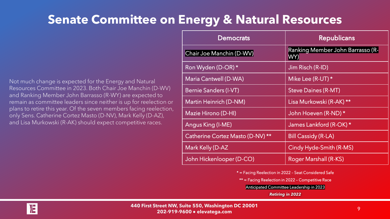#### **Senate Committee on Energy & Natural Resources**

Not much change is expected for the Energy and Natural Resources Committee in 2023. Both Chair Joe Manchin (D-WV) and Ranking Member John Barrasso (R-WY) are expected to remain as committee leaders since neither is up for reelection or plans to retire this year. Of the seven members facing reelection, only Sens. Catherine Cortez Masto (D-NV), Mark Kelly (D-AZ), and Lisa Murkowski (R-AK) should expect competitive races.

| <b>Democrats</b>                 | <b>Republicans</b>                      |
|----------------------------------|-----------------------------------------|
| Chair Joe Manchin (D-WV)         | Ranking Member John Barrasso (R-<br>WY) |
| Ron Wyden (D-OR) *               | Jim Risch (R-ID)                        |
| Maria Cantwell (D-WA)            | Mike Lee (R-UT) *                       |
| <b>Bernie Sanders (I-VT)</b>     | <b>Steve Daines (R-MT)</b>              |
| Martin Heinrich (D-NM)           | Lisa Murkowski (R-AK) **                |
| Mazie Hirono (D-HI)              | John Hoeven (R-ND) *                    |
| Angus King (I-ME)                | James Lankford (R-OK) *                 |
| Catherine Cortez Masto (D-NV) ** | <b>Bill Cassidy (R-LA)</b>              |
| Mark Kelly (D-AZ                 | Cindy Hyde-Smith (R-MS)                 |
| John Hickenlooper (D-CO)         | <b>Roger Marshall (R-KS)</b>            |

\* = Facing Reelection in 2022 – Seat Considered Safe

\*\* = Facing Reelection in 2022 - Competitive Race

Anticipated Committee Leadership in 2023

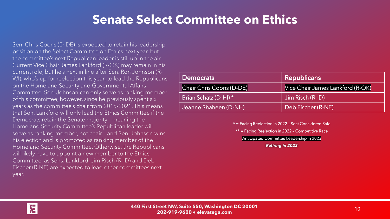#### **Senate Select Committee on Ethics**

Sen. Chris Coons (D-DE) is expected to retain his leadership position on the Select Committee on Ethics next year, but the committee's next Republican leader is still up in the air. Current Vice Chair James Lankford (R-OK) may remain in his current role, but he's next in line after Sen. Ron Johnson (R-WI), who's up for reelection this year, to lead the Republicans on the Homeland Security and Governmental Affairs Committee. Sen. Johnson can only serve as ranking member of this committee, however, since he previously spent six years as the committee's chair from 2015-2021. This means that Sen. Lankford will only lead the Ethics Committee if the Democrats retain the Senate majority – meaning the Homeland Security Committee's Republican leader will serve as ranking member, not chair – and Sen. Johnson wins his election and is promoted as ranking member of the Homeland Security Committee. Otherwise, the Republicans will likely have to appoint a new member to the Ethics Committee, as Sens. Lankford, Jim Risch (R-ID) and Deb Fischer (R-NE) are expected to lead other committees next year.

| <b>Democrats</b>                | <b>Republicans</b>               |
|---------------------------------|----------------------------------|
| <b>Chair Chris Coons (D-DE)</b> | Vice Chair James Lankford (R-OK) |
| Brian Schatz (D-HI) *           | Jim Risch (R-ID)                 |
| Jeanne Shaheen (D-NH)           | Deb Fischer (R-NE)               |

\* = Facing Reelection in 2022 – Seat Considered Safe

\*\* = Facing Reelection in 2022 – Competitive Race

Anticipated Committee Leadership in 2023

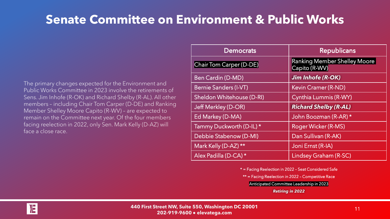## **Senate Committee on Environment & Public Works**

The primary changes expected for the Environment and Public Works Committee in 2023 involve the retirements of Sens. Jim Inhofe (R-OK) and Richard Shelby (R-AL). All other members – including Chair Tom Carper (D-DE) and Ranking Member Shelley Moore Capito (R-WV) – are expected to remain on the Committee next year. Of the four members facing reelection in 2022, only Sen. Mark Kelly (D-AZ) will face a close race.

| <b>Democrats</b>               | Republicans                                   |
|--------------------------------|-----------------------------------------------|
| <b>Chair Tom Carper (D-DE)</b> | Ranking Member Shelley Moore<br>Capito (R-WV) |
| Ben Cardin (D-MD)              | <b>Jim Inhofe (R-OK)</b>                      |
| Bernie Sanders (I-VT)          | Kevin Cramer (R-ND)                           |
| Sheldon Whitehouse (D-RI)      | Cynthia Lummis (R-WY)                         |
| Jeff Merkley (D-OR)            | <b>Richard Shelby (R-AL)</b>                  |
| Ed Markey (D-MA)               | John Boozman (R-AR) *                         |
| Tammy Duckworth (D-IL) *       | Roger Wicker (R-MS)                           |
| Debbie Stabenow (D-MI)         | Dan Sullivan (R-AK)                           |
| Mark Kelly (D-AZ) **           | Joni Ernst (R-IA)                             |
| Alex Padilla (D-CA) *          | Lindsey Graham (R-SC)                         |

\* = Facing Reelection in 2022 – Seat Considered Safe

\*\* = Facing Reelection in 2022 – Competitive Race

Anticipated Committee Leadership in 2023

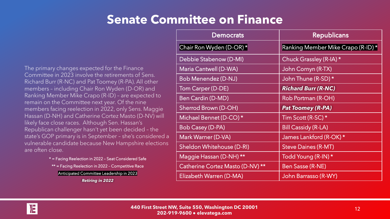#### **Senate Committee on Finance**

The primary changes expected for the Finance Committee in 2023 involve the retirements of Sens. Richard Burr (R-NC) and Pat Toomey (R-PA). All other members – including Chair Ron Wyden (D-OR) and Ranking Member Mike Crapo (R-ID) – are expected to remain on the Committee next year. Of the nine members facing reelection in 2022, only Sens. Maggie Hassan (D-NH) and Catherine Cortez Masto (D-NV) will likely face close races. Although Sen. Hassan's Republican challenger hasn't yet been decided – the state's GOP primary is in September – she's considered a vulnerable candidate because New Hampshire elections are often close.

- \* = Facing Reelection in 2022 Seat Considered Safe
- \*\* = Facing Reelection in 2022 Competitive Race

Anticipated Committee Leadership in 2023 *Retiring in 2022*

| <b>Democrats</b>                 | <b>Republicans</b>                 |
|----------------------------------|------------------------------------|
| Chair Ron Wyden (D-OR)*          | Ranking Member Mike Crapo (R-ID) * |
| Debbie Stabenow (D-MI)           | Chuck Grassley (R-IA) *            |
| <b>Maria Cantwell (D-WA)</b>     | John Cornyn (R-TX)                 |
| Bob Menendez (D-NJ)              | John Thune (R-SD) *                |
| Tom Carper (D-DE)                | <b>Richard Burr (R-NC)</b>         |
| Ben Cardin (D-MD)                | Rob Portman (R-OH)                 |
| Sherrod Brown (D-OH)             | <b>Pat Toomey (R-PA)</b>           |
| Michael Bennet (D-CO)*           | Tim Scott (R-SC) $*$               |
| Bob Casey (D-PA)                 | <b>Bill Cassidy (R-LA)</b>         |
| Mark Warner (D-VA)               | James Lankford (R-OK) *            |
| Sheldon Whitehouse (D-RI)        | <b>Steve Daines (R-MT)</b>         |
| Maggie Hassan (D-NH) **          | Todd Young (R-IN) *                |
| Catherine Cortez Masto (D-NV) ** | Ben Sasse (R-NE)                   |
| Elizabeth Warren (D-MA)          | John Barrasso (R-WY)               |

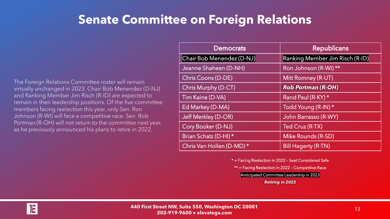#### **Senate Committee on Foreign Relations**

The Foreign Relations Committee roster will remain virtually unchanged in 2023. Chair Bob Menendez (D-NJ) and Ranking Member Jim Risch (R-ID) are expected to remain in their leadership positions. Of the five committee members facing reelection this year, only Sen. Ron Johnson (R-WI) will face a competitive race. Sen. Rob Portman (R-OH) will not return to the committee next year, as he previously announced his plans to retire in 2022.

| <b>Democrats</b>          | <b>Republicans</b>              |
|---------------------------|---------------------------------|
| Chair Bob Menendez (D-NJ) | Ranking Member Jim Risch (R-ID) |
| Jeanne Shaheen (D-NH)     | Ron Johnson (R-WI) **           |
| Chris Coons (D-DE)        | Mitt Romney (R-UT)              |
| Chris Murphy (D-CT)       | <b>Rob Portman (R-OH)</b>       |
| Tim Kaine (D-VA)          | Rand Paul (R-KY) *              |
| Ed Markey (D-MA)          | Todd Young (R-IN) *             |
| Jeff Merkley (D-OR)       | John Barrasso (R-WY)            |
| Cory Booker (D-NJ)        | Ted Cruz (R-TX)                 |
| Brian Schatz (D-HI) *     | Mike Rounds (R-SD)              |
| Chris Van Hollen (D-MD) * | <b>Bill Hagerty (R-TN)</b>      |

\* = Facing Reelection in 2022 – Seat Considered Safe

\*\* = Facing Reelection in 2022 – Competitive Race

Anticipated Committee Leadership in 2023

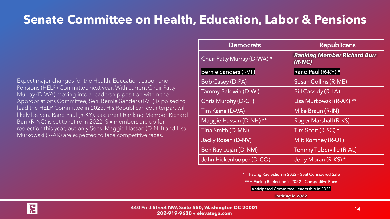## **Senate Committee on Health, Education, Labor & Pensions**

Expect major changes for the Health, Education, Labor, and Pensions (HELP) Committee next year. With current Chair Patty Murray (D-WA) moving into a leadership position within the Appropriations Committee, Sen. Bernie Sanders (I-VT) is poised to lead the HELP Committee in 2023. His Republican counterpart will likely be Sen. Rand Paul (R-KY), as current Ranking Member Richard Burr (R-NC) is set to retire in 2022. Six members are up for reelection this year, but only Sens. Maggie Hassan (D-NH) and Lisa Murkowski (R-AK) are expected to face competitive races.

| <b>Democrats</b>             | <b>Republicans</b>                             |
|------------------------------|------------------------------------------------|
| Chair Patty Murray (D-WA) *  | <b>Ranking Member Richard Burr</b><br>$(R-NC)$ |
| <b>Bernie Sanders (I-VT)</b> | Rand Paul (R-KY) *                             |
| <b>Bob Casey (D-PA)</b>      | <b>Susan Collins (R-ME)</b>                    |
| Tammy Baldwin (D-WI)         | <b>Bill Cassidy (R-LA)</b>                     |
| Chris Murphy (D-CT)          | Lisa Murkowski (R-AK) **                       |
| <b>Tim Kaine (D-VA)</b>      | Mike Braun (R-IN)                              |
| Maggie Hassan (D-NH) **      | Roger Marshall (R-KS)                          |
| Tina Smith (D-MN)            | Tim Scott (R-SC) *                             |
| Jacky Rosen (D-NV)           | Mitt Romney (R-UT)                             |
| Ben Ray Luján (D-NM)         | <b>Tommy Tuberville (R-AL)</b>                 |
| John Hickenlooper (D-CO)     | Jerry Moran (R-KS) *                           |

\* = Facing Reelection in 2022 – Seat Considered Safe

\*\* = Facing Reelection in 2022 – Competitive Race

Anticipated Committee Leadership in 2023

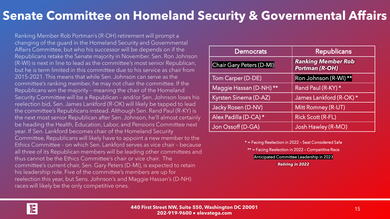## **Senate Committee on Homeland Security & Governmental Affairs**

Ranking Member Rob Portman's (R-OH) retirement will prompt a changing of the guard in the Homeland Security and Governmental Affairs Committee, but who his successor will be depends on if the Republicans retake the Senate majority in November. Sen. Ron Johnson (R-WI) is next in line to lead as the committee's most senior Republican, but he is term limited in this committee due to his service as chair from 2015-2021. This means that while Sen. Johnson can serve as the committee's ranking member, he may not chair the committee. If the Republicans win the majority – meaning the chair of the Homeland Security Committee will be a Republican – and/or Sen. Johnson loses his reelection bid, Sen. James Lankford (R-OK) will likely be tapped to lead the committee's Republicans instead. Although Sen. Rand Paul (R-KY) is the next most senior Republican after Sen. Johnson, he'll almost certainly be heading the Health, Education, Labor, and Pensions Committee next year. If Sen. Lankford becomes chair of the Homeland Security Committee, Republicans will likely have to appoint a new member to the Ethics Committee – on which Sen. Lankford serves as vice chair – because all three of its Republican members will be leading other committees and thus cannot be the Ethics Committee's chair or vice chair. The committee's current chair, Sen. Gary Peters (D-MI), is expected to retain his leadership role. Five of the committee's members are up for reelection this year, but Sens. Johnson's and Maggie Hassan's (D-NH) races will likely be the only competitive ones.

| <b>Democrats</b>                | <b>Republicans</b>                                 |
|---------------------------------|----------------------------------------------------|
| <b>Chair Gary Peters (D-MI)</b> | <b>Ranking Member Rob</b><br><b>Portman (R-OH)</b> |
| Tom Carper (D-DE)               | Ron Johnson (R-WI) **                              |
| Maggie Hassan (D-NH) **         | Rand Paul (R-KY) *                                 |
| Kyrsten Sinema (D-AZ)           | James Lankford (R-OK) *                            |
| Jacky Rosen (D-NV)              | <b>Mitt Romney (R-UT)</b>                          |
| Alex Padilla (D-CA) *           | <b>Rick Scott (R-FL)</b>                           |
| Jon Ossoff (D-GA)               | Josh Hawley (R-MO)                                 |

\* = Facing Reelection in 2022 – Seat Considered Safe

\*\* = Facing Reelection in 2022 – Competitive Race

Anticipated Committee Leadership in 2023

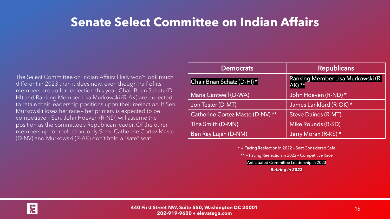#### **Senate Select Committee on Indian Affairs**

The Select Committee on Indian Affairs likely won't look much different in 2023 than it does now, even though half of its members are up for reelection this year. Chair Brian Schatz (D-HI) and Ranking Member Lisa Murkowski (R-AK) are expected to retain their leadership positions upon their reelection. If Sen. Murkowski loses her race – her primary is expected to be competitive – Sen. John Hoeven (R-ND) will assume the position as the committee's Republican leader. Of the other members up for reelection, only Sens. Catherine Cortez Masto (D-NV) and Murkowski (R-AK) don't hold a "safe" seat.

| <b>Democrats</b>                 | <b>Republicans</b>                            |
|----------------------------------|-----------------------------------------------|
| Chair Brian Schatz (D-HI) *      | Ranking Member Lisa Murkowski (R-<br>$AK)$ ** |
| Maria Cantwell (D-WA)            | John Hoeven (R-ND) *                          |
| Jon Tester (D-MT)                | James Lankford (R-OK) *                       |
| Catherine Cortez Masto (D-NV) ** | <b>Steve Daines (R-MT)</b>                    |
| Tina Smith (D-MN)                | Mike Rounds (R-SD)                            |
| Ben Ray Luján (D-NM)             | Jerry Moran (R-KS) *                          |

\* = Facing Reelection in 2022 – Seat Considered Safe

\*\* = Facing Reelection in 2022 - Competitive Race

Anticipated Committee Leadership in 2023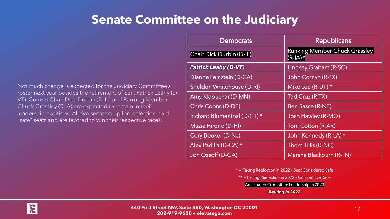#### **Senate Committee on the Judiciary**

Not much change is expected for the Judiciary Committee's roster next year besides the retirement of Sen. Patrick Leahy (D-VT). Current Chair Dick Durbin (D-IL) and Ranking Member Chuck Grassley (R-IA) are expected to remain in their leadership positions. All five senators up for reelection hold "safe" seats and are favored to win their respective races.

| <b>Democrats</b>            | <b>Republicans</b>                                |
|-----------------------------|---------------------------------------------------|
| Chair Dick Durbin (D-IL)    | <b>Ranking Member Chuck Grassley</b><br>$(R-IA)*$ |
| <b>Patrick Leahy (D-VT)</b> | <b>Lindsey Graham (R-SC)</b>                      |
| Dianne Feinstein (D-CA)     | John Cornyn (R-TX)                                |
| Sheldon Whitehouse (D-RI)   | Mike Lee (R-UT) *                                 |
| Amy Klobuchar (D-MN)        | Ted Cruz (R-TX)                                   |
| Chris Coons (D-DE)          | Ben Sasse (R-NE)                                  |
| Richard Blumenthal (D-CT) * | Josh Hawley (R-MO)                                |
| Mazie Hirono (D-HI)         | Tom Cotton (R-AR)                                 |
| Cory Booker (D-NJ)          | John Kennedy (R-LA) *                             |
| Alex Padilla (D-CA) *       | Thom Tillis (R-NC)                                |
| Jon Ossoff (D-GA)           | Marsha Blackburn (R-TN)                           |

\* = Facing Reelection in 2022 – Seat Considered Safe

\*\* = Facing Reelection in 2022 – Competitive Race

Anticipated Committee Leadership in 2023

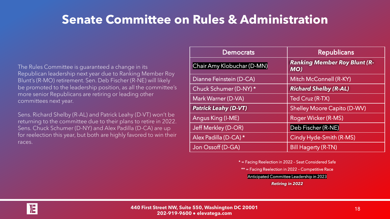### **Senate Committee on Rules & Administration**

The Rules Committee is guaranteed a change in its Republican leadership next year due to Ranking Member Roy Blunt's (R-MO) retirement. Sen. Deb Fischer (R-NE) will likely be promoted to the leadership position, as all the committee's more senior Republicans are retiring or leading other committees next year.

Sens. Richard Shelby (R-AL) and Patrick Leahy (D-VT) won't be returning to the committee due to their plans to retire in 2022. Sens. Chuck Schumer (D-NY) and Alex Padilla (D-CA) are up for reelection this year, but both are highly favored to win their races.

| <b>Democrats</b>            | Republicans                                |
|-----------------------------|--------------------------------------------|
| Chair Amy Klobuchar (D-MN)  | <b>Ranking Member Roy Blunt (R-</b><br>MO) |
| Dianne Feinstein (D-CA)     | Mitch McConnell (R-KY)                     |
| Chuck Schumer (D-NY) *      | <b>Richard Shelby (R-AL)</b>               |
| Mark Warner (D-VA)          | Ted Cruz (R-TX)                            |
| <b>Patrick Leahy (D-VT)</b> | <b>Shelley Moore Capito (D-WV)</b>         |
| Angus King (I-ME)           | Roger Wicker (R-MS)                        |
| Jeff Merkley (D-OR)         | Deb Fischer (R-NE)                         |
| Alex Padilla (D-CA) *       | Cindy Hyde-Smith (R-MS)                    |
| Jon Ossoff (D-GA)           | <b>Bill Hagerty (R-TN)</b>                 |

\* = Facing Reelection in 2022 – Seat Considered Safe

\*\* = Facing Reelection in 2022 – Competitive Race

Anticipated Committee Leadership in 2023

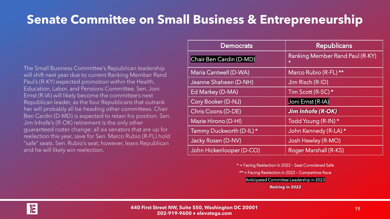# **Senate Committee on Small Business & Entrepreneurship**

The Small Business Committee's Republican leadership will shift next year due to current Ranking Member Rand Paul's (R-KY) expected promotion within the Health, Education, Labor, and Pensions Committee. Sen. Joni Ernst (R-IA) will likely become the committee's next Republican leader, as the four Republicans that outrank her will probably all be heading other committees. Chair Ben Cardin (D-MD) is expected to retain his position. Sen. Jim Inhofe's (R-OK) retirement is the only other guaranteed roster change; all six senators that are up for reelection this year, save for Sen. Marco Rubio (R-FL) hold "safe" seats. Sen. Rubio's seat, however, leans Republican and he will likely win reelection.

| <b>Democrats</b>           | <b>Republicans</b>                                |
|----------------------------|---------------------------------------------------|
| Chair Ben Cardin (D-MD)    | <b>Ranking Member Rand Paul (R-KY)</b><br>$\star$ |
| Maria Cantwell (D-WA)      | Marco Rubio (R-FL) **                             |
| Jeanne Shaheen (D-NH)      | Jim Risch (R-ID)                                  |
| Ed Markey (D-MA)           | Tim Scott (R-SC) *                                |
| Cory Booker (D-NJ)         | Joni Ernst (R-IA)                                 |
| Chris Coons (D-DE)         | <b>Jim Inhofe (R-OK)</b>                          |
| <b>Mazie Hirono (D-HI)</b> | Todd Young (R-IN) *                               |
| Tammy Duckworth (D-IL) *   | John Kennedy (R-LA) *                             |
| Jacky Rosen (D-NV)         | <b>Josh Hawley (R-MO)</b>                         |
| John Hickenlooper (D-CO)   | Roger Marshall (R-KS)                             |

\* = Facing Reelection in 2022 – Seat Considered Safe

\*\* = Facing Reelection in 2022 – Competitive Race

Anticipated Committee Leadership in 2023